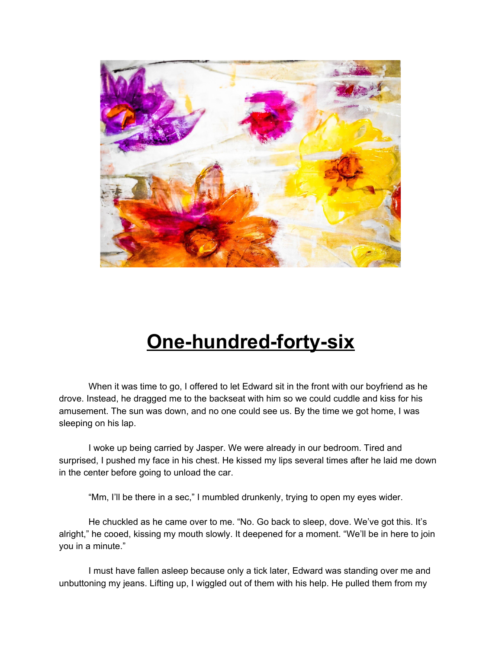

## **One-hundred-forty-six**

When it was time to go, I offered to let Edward sit in the front with our boyfriend as he drove. Instead, he dragged me to the backseat with him so we could cuddle and kiss for his amusement. The sun was down, and no one could see us. By the time we got home, I was sleeping on his lap.

I woke up being carried by Jasper. We were already in our bedroom. Tired and surprised, I pushed my face in his chest. He kissed my lips several times after he laid me down in the center before going to unload the car.

"Mm, I'll be there in a sec," I mumbled drunkenly, trying to open my eyes wider.

He chuckled as he came over to me. "No. Go back to sleep, dove. We've got this. It's alright," he cooed, kissing my mouth slowly. It deepened for a moment. "We'll be in here to join you in a minute."

I must have fallen asleep because only a tick later, Edward was standing over me and unbuttoning my jeans. Lifting up, I wiggled out of them with his help. He pulled them from my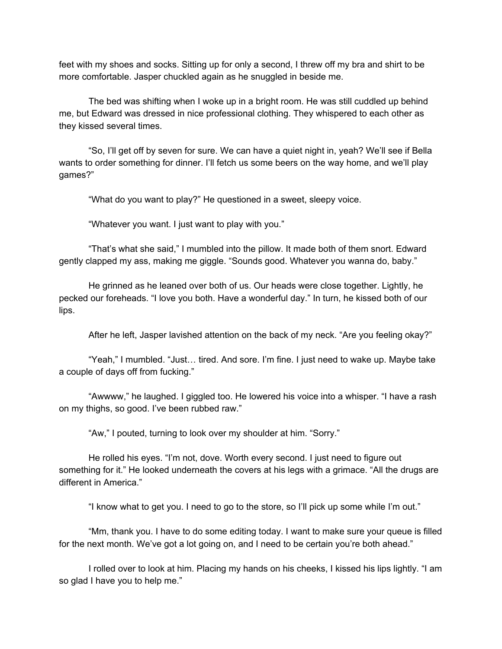feet with my shoes and socks. Sitting up for only a second, I threw off my bra and shirt to be more comfortable. Jasper chuckled again as he snuggled in beside me.

The bed was shifting when I woke up in a bright room. He was still cuddled up behind me, but Edward was dressed in nice professional clothing. They whispered to each other as they kissed several times.

"So, I'll get off by seven for sure. We can have a quiet night in, yeah? We'll see if Bella wants to order something for dinner. I'll fetch us some beers on the way home, and we'll play games?"

"What do you want to play?" He questioned in a sweet, sleepy voice.

"Whatever you want. I just want to play with you."

"That's what she said," I mumbled into the pillow. It made both of them snort. Edward gently clapped my ass, making me giggle. "Sounds good. Whatever you wanna do, baby."

He grinned as he leaned over both of us. Our heads were close together. Lightly, he pecked our foreheads. "I love you both. Have a wonderful day." In turn, he kissed both of our lips.

After he left, Jasper lavished attention on the back of my neck. "Are you feeling okay?"

"Yeah," I mumbled. "Just… tired. And sore. I'm fine. I just need to wake up. Maybe take a couple of days off from fucking."

"Awwww," he laughed. I giggled too. He lowered his voice into a whisper. "I have a rash on my thighs, so good. I've been rubbed raw."

"Aw," I pouted, turning to look over my shoulder at him. "Sorry."

He rolled his eyes. "I'm not, dove. Worth every second. I just need to figure out something for it." He looked underneath the covers at his legs with a grimace. "All the drugs are different in America."

"I know what to get you. I need to go to the store, so I'll pick up some while I'm out."

"Mm, thank you. I have to do some editing today. I want to make sure your queue is filled for the next month. We've got a lot going on, and I need to be certain you're both ahead."

I rolled over to look at him. Placing my hands on his cheeks, I kissed his lips lightly. "I am so glad I have you to help me."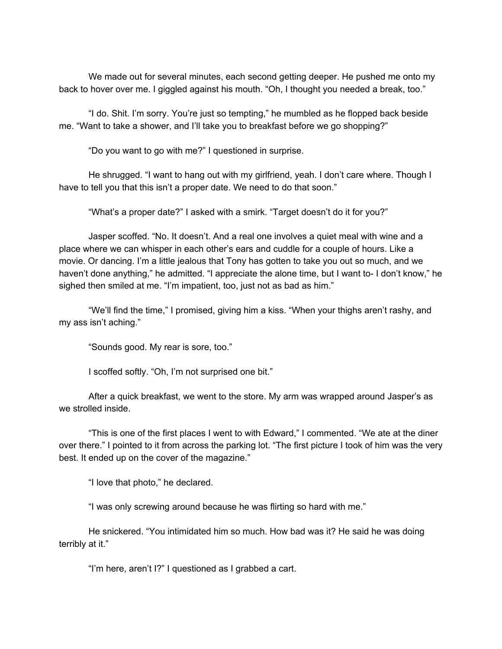We made out for several minutes, each second getting deeper. He pushed me onto my back to hover over me. I giggled against his mouth. "Oh, I thought you needed a break, too."

"I do. Shit. I'm sorry. You're just so tempting," he mumbled as he flopped back beside me. "Want to take a shower, and I'll take you to breakfast before we go shopping?"

"Do you want to go with me?" I questioned in surprise.

He shrugged. "I want to hang out with my girlfriend, yeah. I don't care where. Though I have to tell you that this isn't a proper date. We need to do that soon."

"What's a proper date?" I asked with a smirk. "Target doesn't do it for you?"

Jasper scoffed. "No. It doesn't. And a real one involves a quiet meal with wine and a place where we can whisper in each other's ears and cuddle for a couple of hours. Like a movie. Or dancing. I'm a little jealous that Tony has gotten to take you out so much, and we haven't done anything," he admitted. "I appreciate the alone time, but I want to- I don't know," he sighed then smiled at me. "I'm impatient, too, just not as bad as him."

"We'll find the time," I promised, giving him a kiss. "When your thighs aren't rashy, and my ass isn't aching."

"Sounds good. My rear is sore, too."

I scoffed softly. "Oh, I'm not surprised one bit."

After a quick breakfast, we went to the store. My arm was wrapped around Jasper's as we strolled inside.

"This is one of the first places I went to with Edward," I commented. "We ate at the diner over there." I pointed to it from across the parking lot. "The first picture I took of him was the very best. It ended up on the cover of the magazine."

"I love that photo," he declared.

"I was only screwing around because he was flirting so hard with me."

He snickered. "You intimidated him so much. How bad was it? He said he was doing terribly at it."

"I'm here, aren't I?" I questioned as I grabbed a cart.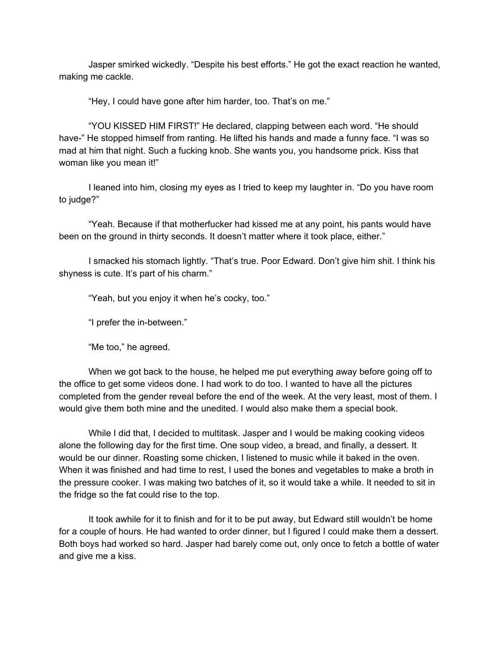Jasper smirked wickedly. "Despite his best efforts." He got the exact reaction he wanted, making me cackle.

"Hey, I could have gone after him harder, too. That's on me."

"YOU KISSED HIM FIRST!" He declared, clapping between each word. "He should have-" He stopped himself from ranting. He lifted his hands and made a funny face. "I was so mad at him that night. Such a fucking knob. She wants you, you handsome prick. Kiss that woman like you mean it!"

I leaned into him, closing my eyes as I tried to keep my laughter in. "Do you have room to judge?"

"Yeah. Because if that motherfucker had kissed me at any point, his pants would have been on the ground in thirty seconds. It doesn't matter where it took place, either."

I smacked his stomach lightly. "That's true. Poor Edward. Don't give him shit. I think his shyness is cute. It's part of his charm."

"Yeah, but you enjoy it when he's cocky, too."

"I prefer the in-between."

"Me too," he agreed.

When we got back to the house, he helped me put everything away before going off to the office to get some videos done. I had work to do too. I wanted to have all the pictures completed from the gender reveal before the end of the week. At the very least, most of them. I would give them both mine and the unedited. I would also make them a special book.

While I did that, I decided to multitask. Jasper and I would be making cooking videos alone the following day for the first time. One soup video, a bread, and finally, a dessert. It would be our dinner. Roasting some chicken, I listened to music while it baked in the oven. When it was finished and had time to rest, I used the bones and vegetables to make a broth in the pressure cooker. I was making two batches of it, so it would take a while. It needed to sit in the fridge so the fat could rise to the top.

It took awhile for it to finish and for it to be put away, but Edward still wouldn't be home for a couple of hours. He had wanted to order dinner, but I figured I could make them a dessert. Both boys had worked so hard. Jasper had barely come out, only once to fetch a bottle of water and give me a kiss.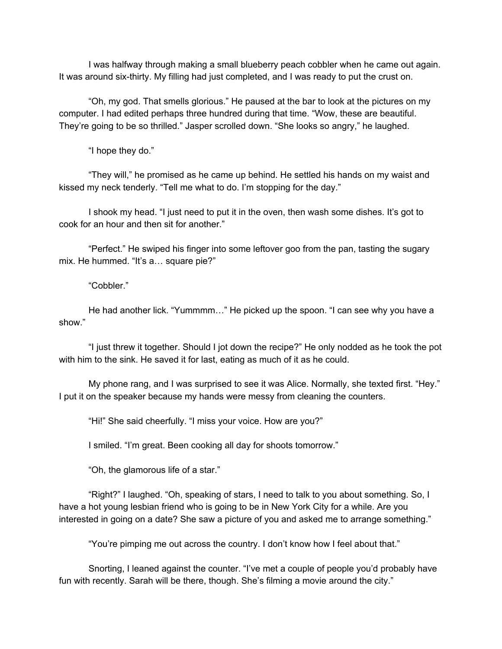I was halfway through making a small blueberry peach cobbler when he came out again. It was around six-thirty. My filling had just completed, and I was ready to put the crust on.

"Oh, my god. That smells glorious." He paused at the bar to look at the pictures on my computer. I had edited perhaps three hundred during that time. "Wow, these are beautiful. They're going to be so thrilled." Jasper scrolled down. "She looks so angry," he laughed.

"I hope they do."

"They will," he promised as he came up behind. He settled his hands on my waist and kissed my neck tenderly. "Tell me what to do. I'm stopping for the day."

I shook my head. "I just need to put it in the oven, then wash some dishes. It's got to cook for an hour and then sit for another."

"Perfect." He swiped his finger into some leftover goo from the pan, tasting the sugary mix. He hummed. "It's a… square pie?"

"Cobbler."

He had another lick. "Yummmm…" He picked up the spoon. "I can see why you have a show."

"I just threw it together. Should I jot down the recipe?" He only nodded as he took the pot with him to the sink. He saved it for last, eating as much of it as he could.

My phone rang, and I was surprised to see it was Alice. Normally, she texted first. "Hey." I put it on the speaker because my hands were messy from cleaning the counters.

"Hi!" She said cheerfully. "I miss your voice. How are you?"

I smiled. "I'm great. Been cooking all day for shoots tomorrow."

"Oh, the glamorous life of a star."

"Right?" I laughed. "Oh, speaking of stars, I need to talk to you about something. So, I have a hot young lesbian friend who is going to be in New York City for a while. Are you interested in going on a date? She saw a picture of you and asked me to arrange something."

"You're pimping me out across the country. I don't know how I feel about that."

Snorting, I leaned against the counter. "I've met a couple of people you'd probably have fun with recently. Sarah will be there, though. She's filming a movie around the city."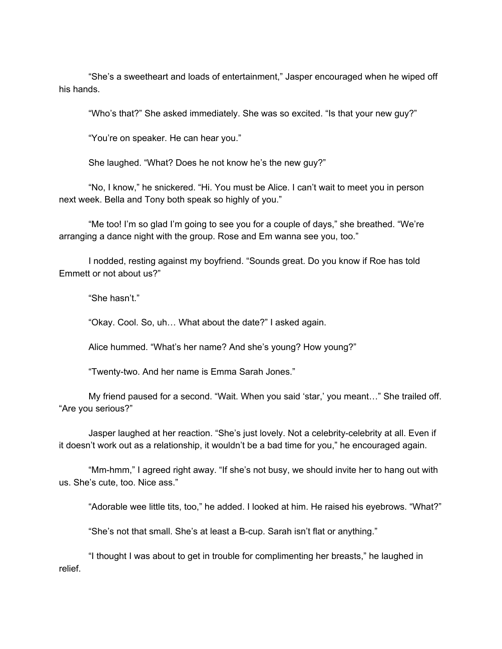"She's a sweetheart and loads of entertainment," Jasper encouraged when he wiped off his hands.

"Who's that?" She asked immediately. She was so excited. "Is that your new guy?"

"You're on speaker. He can hear you."

She laughed. "What? Does he not know he's the new guy?"

"No, I know," he snickered. "Hi. You must be Alice. I can't wait to meet you in person next week. Bella and Tony both speak so highly of you."

"Me too! I'm so glad I'm going to see you for a couple of days," she breathed. "We're arranging a dance night with the group. Rose and Em wanna see you, too."

I nodded, resting against my boyfriend. "Sounds great. Do you know if Roe has told Emmett or not about us?"

"She hasn't."

"Okay. Cool. So, uh… What about the date?" I asked again.

Alice hummed. "What's her name? And she's young? How young?"

"Twenty-two. And her name is Emma Sarah Jones."

My friend paused for a second. "Wait. When you said 'star,' you meant…" She trailed off. "Are you serious?"

Jasper laughed at her reaction. "She's just lovely. Not a celebrity-celebrity at all. Even if it doesn't work out as a relationship, it wouldn't be a bad time for you," he encouraged again.

"Mm-hmm," I agreed right away. "If she's not busy, we should invite her to hang out with us. She's cute, too. Nice ass."

"Adorable wee little tits, too," he added. I looked at him. He raised his eyebrows. "What?"

"She's not that small. She's at least a B-cup. Sarah isn't flat or anything."

"I thought I was about to get in trouble for complimenting her breasts," he laughed in relief.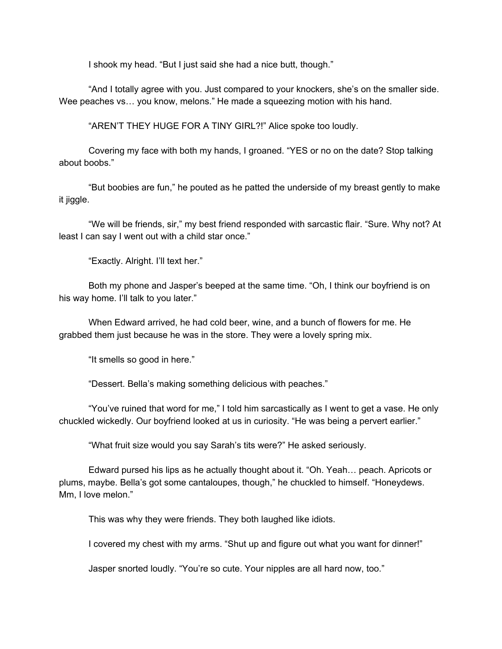I shook my head. "But I just said she had a nice butt, though."

"And I totally agree with you. Just compared to your knockers, she's on the smaller side. Wee peaches vs... you know, melons." He made a squeezing motion with his hand.

"AREN'T THEY HUGE FOR A TINY GIRL?!" Alice spoke too loudly.

Covering my face with both my hands, I groaned. "YES or no on the date? Stop talking about boobs."

"But boobies are fun," he pouted as he patted the underside of my breast gently to make it jiggle.

"We will be friends, sir," my best friend responded with sarcastic flair. "Sure. Why not? At least I can say I went out with a child star once."

"Exactly. Alright. I'll text her."

Both my phone and Jasper's beeped at the same time. "Oh, I think our boyfriend is on his way home. I'll talk to you later."

When Edward arrived, he had cold beer, wine, and a bunch of flowers for me. He grabbed them just because he was in the store. They were a lovely spring mix.

"It smells so good in here."

"Dessert. Bella's making something delicious with peaches."

"You've ruined that word for me," I told him sarcastically as I went to get a vase. He only chuckled wickedly. Our boyfriend looked at us in curiosity. "He was being a pervert earlier."

"What fruit size would you say Sarah's tits were?" He asked seriously.

Edward pursed his lips as he actually thought about it. "Oh. Yeah… peach. Apricots or plums, maybe. Bella's got some cantaloupes, though," he chuckled to himself. "Honeydews. Mm, I love melon."

This was why they were friends. They both laughed like idiots.

I covered my chest with my arms. "Shut up and figure out what you want for dinner!"

Jasper snorted loudly. "You're so cute. Your nipples are all hard now, too."